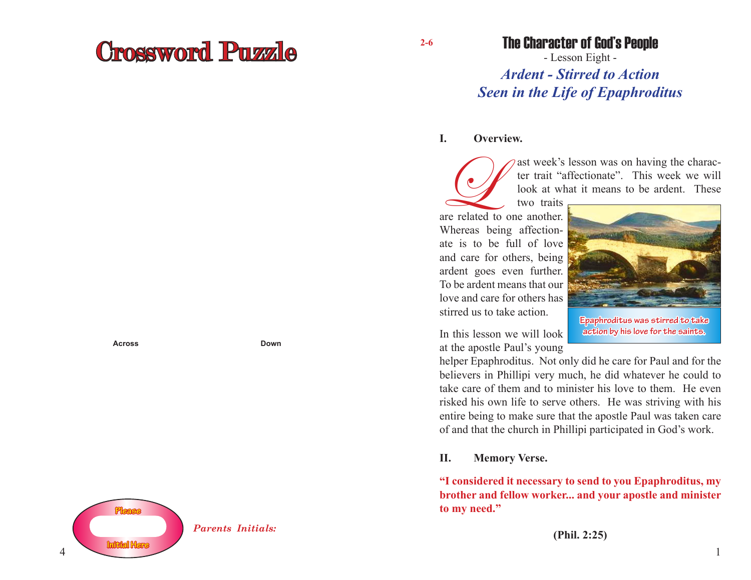# Crossword Puzzle

**Across Down**



**2-6**

### The Character of God's People

- Lesson Eight - *Ardent - Stirred to Action Seen in the Life of Epaphroditus*

#### **I. Overview.**

ast week's lesson was on having the character trait "affectionate". This week we will look at what it means to be ardent. These

two traits are related to one another. Whereas being affectionate is to be full of love and care for others, being ardent goes even further. To be ardent means that our love and care for others has stirred us to take action.

In this lesson we will look at the apostle Paul's young

helper Epaphroditus. Not only did he care for Paul and for the believers in Phillipi very much, he did whatever he could to take care of them and to minister his love to them. He even risked his own life to serve others. He was striving with his entire being to make sure that the apostle Paul was taken care of and that the church in Phillipi participated in God's work.

#### **II. Memory Verse.**

**"I considered it necessary to send to you Epaphroditus, my brother and fellow worker... and your apostle and minister to my need."**



**Epaphroditus was stirred to take action by his love for the saints.**

1